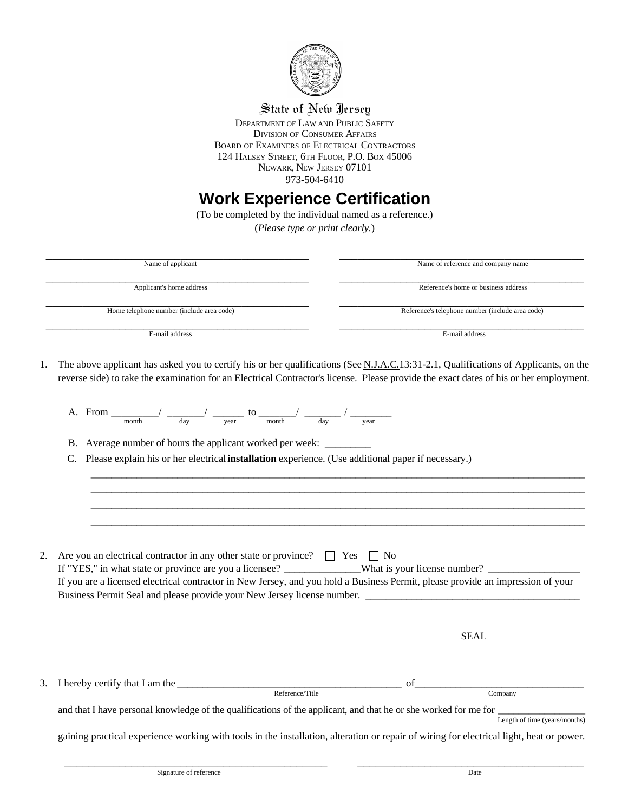

## State of New Jersey

DEPARTMENT OF LAW AND PUBLIC SAFETY DIVISION OF CONSUMER AFFAIRS BOARD OF EXAMINERS OF ELECTRICAL CONTRACTORS 124 HALSEY STREET, 6TH FLOOR, P.O. BOX 45006 NEWARK, NEW JERSEY 07101 973-504-6410

## **Work Experience Certification**

(To be completed by the individual named as a reference.) (*Please type or print clearly.*)

| Name of applicant                                                                                                                                          | Name of reference and company name                                                                                                                                                                                                                                            |
|------------------------------------------------------------------------------------------------------------------------------------------------------------|-------------------------------------------------------------------------------------------------------------------------------------------------------------------------------------------------------------------------------------------------------------------------------|
| Applicant's home address                                                                                                                                   | Reference's home or business address                                                                                                                                                                                                                                          |
| Home telephone number (include area code)                                                                                                                  | Reference's telephone number (include area code)                                                                                                                                                                                                                              |
| E-mail address                                                                                                                                             | E-mail address                                                                                                                                                                                                                                                                |
| 1.                                                                                                                                                         | The above applicant has asked you to certify his or her qualifications (See N.J.A.C.13:31-2.1, Qualifications of Applicants, on the<br>reverse side) to take the examination for an Electrical Contractor's license. Please provide the exact dates of his or her employment. |
| A. From $\frac{1}{\text{month}}$ $\frac{1}{\text{day}}$ $\frac{1}{\text{year}}$ to $\frac{1}{\text{month}}$ $\frac{1}{\text{day}}$ $\frac{1}{\text{year}}$ |                                                                                                                                                                                                                                                                               |
| B. Average number of hours the applicant worked per week: __________                                                                                       |                                                                                                                                                                                                                                                                               |
| C.                                                                                                                                                         | Please explain his or her electrical installation experience. (Use additional paper if necessary.)                                                                                                                                                                            |
|                                                                                                                                                            |                                                                                                                                                                                                                                                                               |
|                                                                                                                                                            |                                                                                                                                                                                                                                                                               |
|                                                                                                                                                            |                                                                                                                                                                                                                                                                               |
|                                                                                                                                                            |                                                                                                                                                                                                                                                                               |
|                                                                                                                                                            |                                                                                                                                                                                                                                                                               |
| 2.<br>Are you an electrical contractor in any other state or province? $\Box$ Yes $\Box$ No                                                                |                                                                                                                                                                                                                                                                               |
|                                                                                                                                                            | If "YES," in what state or province are you a licensee? ______________What is your license number? _______<br>If you are a licensed electrical contractor in New Jersey, and you hold a Business Permit, please provide an impression of your                                 |
|                                                                                                                                                            | Business Permit Seal and please provide your New Jersey license number.                                                                                                                                                                                                       |
|                                                                                                                                                            |                                                                                                                                                                                                                                                                               |
|                                                                                                                                                            | <b>SEAL</b>                                                                                                                                                                                                                                                                   |
|                                                                                                                                                            |                                                                                                                                                                                                                                                                               |
| 3.                                                                                                                                                         | of                                                                                                                                                                                                                                                                            |
|                                                                                                                                                            | Reference/Title<br>Company                                                                                                                                                                                                                                                    |
|                                                                                                                                                            | and that I have personal knowledge of the qualifications of the applicant, and that he or she worked for me for                                                                                                                                                               |
|                                                                                                                                                            | Length of time (years/months)                                                                                                                                                                                                                                                 |
|                                                                                                                                                            | gaining practical experience working with tools in the installation, alteration or repair of wiring for electrical light, heat or power.                                                                                                                                      |